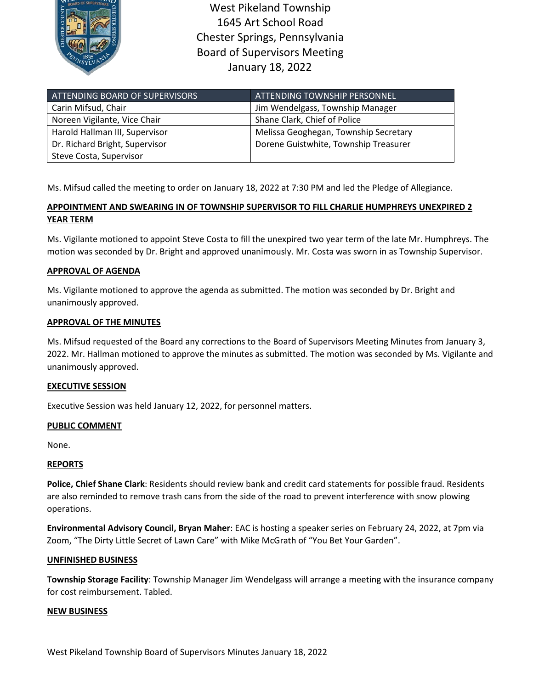

West Pikeland Township 1645 Art School Road Chester Springs, Pennsylvania Board of Supervisors Meeting January 18, 2022

| ATTENDING BOARD OF SUPERVISORS | ATTENDING TOWNSHIP PERSONNEL          |
|--------------------------------|---------------------------------------|
| Carin Mifsud, Chair            | Jim Wendelgass, Township Manager      |
| Noreen Vigilante, Vice Chair   | Shane Clark, Chief of Police          |
| Harold Hallman III, Supervisor | Melissa Geoghegan, Township Secretary |
| Dr. Richard Bright, Supervisor | Dorene Guistwhite, Township Treasurer |
| Steve Costa, Supervisor        |                                       |

Ms. Mifsud called the meeting to order on January 18, 2022 at 7:30 PM and led the Pledge of Allegiance.

# **APPOINTMENT AND SWEARING IN OF TOWNSHIP SUPERVISOR TO FILL CHARLIE HUMPHREYS UNEXPIRED 2 YEAR TERM**

Ms. Vigilante motioned to appoint Steve Costa to fill the unexpired two year term of the late Mr. Humphreys. The motion was seconded by Dr. Bright and approved unanimously. Mr. Costa was sworn in as Township Supervisor.

## **APPROVAL OF AGENDA**

Ms. Vigilante motioned to approve the agenda as submitted. The motion was seconded by Dr. Bright and unanimously approved.

### **APPROVAL OF THE MINUTES**

Ms. Mifsud requested of the Board any corrections to the Board of Supervisors Meeting Minutes from January 3, 2022. Mr. Hallman motioned to approve the minutes as submitted. The motion was seconded by Ms. Vigilante and unanimously approved.

### **EXECUTIVE SESSION**

Executive Session was held January 12, 2022, for personnel matters.

## **PUBLIC COMMENT**

None.

### **REPORTS**

**Police, Chief Shane Clark**: Residents should review bank and credit card statements for possible fraud. Residents are also reminded to remove trash cans from the side of the road to prevent interference with snow plowing operations.

**Environmental Advisory Council, Bryan Maher**: EAC is hosting a speaker series on February 24, 2022, at 7pm via Zoom, "The Dirty Little Secret of Lawn Care" with Mike McGrath of "You Bet Your Garden".

### **UNFINISHED BUSINESS**

**Township Storage Facility**: Township Manager Jim Wendelgass will arrange a meeting with the insurance company for cost reimbursement. Tabled.

#### **NEW BUSINESS**